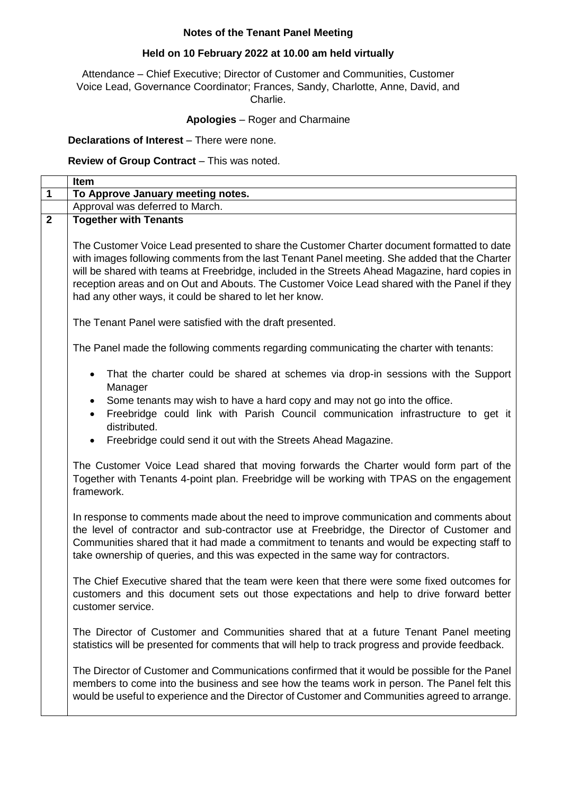# **Notes of the Tenant Panel Meeting**

## **Held on 10 February 2022 at 10.00 am held virtually**

Attendance – Chief Executive; Director of Customer and Communities, Customer Voice Lead, Governance Coordinator; Frances, Sandy, Charlotte, Anne, David, and Charlie.

## **Apologies** – Roger and Charmaine

### **Declarations of Interest** – There were none.

## **Review of Group Contract** – This was noted.

|                | Item                                                                                                                                                                                                                                                                                                                                                                                                                                                      |
|----------------|-----------------------------------------------------------------------------------------------------------------------------------------------------------------------------------------------------------------------------------------------------------------------------------------------------------------------------------------------------------------------------------------------------------------------------------------------------------|
| 1              | To Approve January meeting notes.                                                                                                                                                                                                                                                                                                                                                                                                                         |
|                | Approval was deferred to March.                                                                                                                                                                                                                                                                                                                                                                                                                           |
| $\overline{2}$ | <b>Together with Tenants</b>                                                                                                                                                                                                                                                                                                                                                                                                                              |
|                | The Customer Voice Lead presented to share the Customer Charter document formatted to date<br>with images following comments from the last Tenant Panel meeting. She added that the Charter<br>will be shared with teams at Freebridge, included in the Streets Ahead Magazine, hard copies in<br>reception areas and on Out and Abouts. The Customer Voice Lead shared with the Panel if they<br>had any other ways, it could be shared to let her know. |
|                | The Tenant Panel were satisfied with the draft presented.                                                                                                                                                                                                                                                                                                                                                                                                 |
|                | The Panel made the following comments regarding communicating the charter with tenants:                                                                                                                                                                                                                                                                                                                                                                   |
|                | That the charter could be shared at schemes via drop-in sessions with the Support<br>Manager<br>Some tenants may wish to have a hard copy and may not go into the office.                                                                                                                                                                                                                                                                                 |
|                | Freebridge could link with Parish Council communication infrastructure to get it<br>$\bullet$<br>distributed.                                                                                                                                                                                                                                                                                                                                             |
|                | Freebridge could send it out with the Streets Ahead Magazine.                                                                                                                                                                                                                                                                                                                                                                                             |
|                | The Customer Voice Lead shared that moving forwards the Charter would form part of the<br>Together with Tenants 4-point plan. Freebridge will be working with TPAS on the engagement<br>framework.                                                                                                                                                                                                                                                        |
|                | In response to comments made about the need to improve communication and comments about<br>the level of contractor and sub-contractor use at Freebridge, the Director of Customer and<br>Communities shared that it had made a commitment to tenants and would be expecting staff to<br>take ownership of queries, and this was expected in the same way for contractors.                                                                                 |
|                | The Chief Executive shared that the team were keen that there were some fixed outcomes for<br>customers and this document sets out those expectations and help to drive forward better<br>customer service.                                                                                                                                                                                                                                               |
|                | The Director of Customer and Communities shared that at a future Tenant Panel meeting<br>statistics will be presented for comments that will help to track progress and provide feedback.                                                                                                                                                                                                                                                                 |
|                | The Director of Customer and Communications confirmed that it would be possible for the Panel<br>members to come into the business and see how the teams work in person. The Panel felt this<br>would be useful to experience and the Director of Customer and Communities agreed to arrange.                                                                                                                                                             |
|                |                                                                                                                                                                                                                                                                                                                                                                                                                                                           |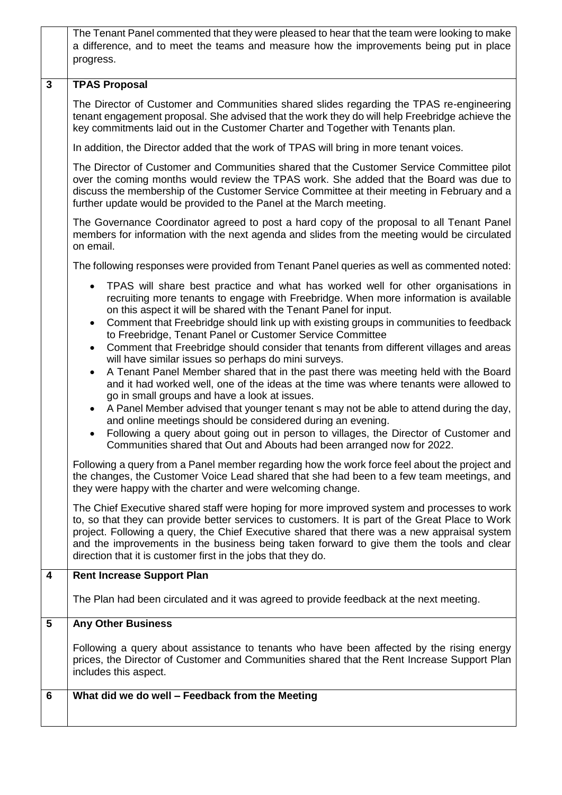| The Tenant Panel commented that they were pleased to hear that the team were looking to make<br>a difference, and to meet the teams and measure how the improvements being put in place<br>progress.                                                                                                                                                                                                                                                                                                                                                                                                                                                                                                                                                                                                                                                                                                                                                                                                                                                                                                                                                                                                                                                                                                                                                                                                                                                                                                                                                                                                                                                                                                                                                                                                            |  |
|-----------------------------------------------------------------------------------------------------------------------------------------------------------------------------------------------------------------------------------------------------------------------------------------------------------------------------------------------------------------------------------------------------------------------------------------------------------------------------------------------------------------------------------------------------------------------------------------------------------------------------------------------------------------------------------------------------------------------------------------------------------------------------------------------------------------------------------------------------------------------------------------------------------------------------------------------------------------------------------------------------------------------------------------------------------------------------------------------------------------------------------------------------------------------------------------------------------------------------------------------------------------------------------------------------------------------------------------------------------------------------------------------------------------------------------------------------------------------------------------------------------------------------------------------------------------------------------------------------------------------------------------------------------------------------------------------------------------------------------------------------------------------------------------------------------------|--|
| $\mathbf{3}$<br><b>TPAS Proposal</b>                                                                                                                                                                                                                                                                                                                                                                                                                                                                                                                                                                                                                                                                                                                                                                                                                                                                                                                                                                                                                                                                                                                                                                                                                                                                                                                                                                                                                                                                                                                                                                                                                                                                                                                                                                            |  |
| The Director of Customer and Communities shared slides regarding the TPAS re-engineering<br>tenant engagement proposal. She advised that the work they do will help Freebridge achieve the<br>key commitments laid out in the Customer Charter and Together with Tenants plan.                                                                                                                                                                                                                                                                                                                                                                                                                                                                                                                                                                                                                                                                                                                                                                                                                                                                                                                                                                                                                                                                                                                                                                                                                                                                                                                                                                                                                                                                                                                                  |  |
| In addition, the Director added that the work of TPAS will bring in more tenant voices.                                                                                                                                                                                                                                                                                                                                                                                                                                                                                                                                                                                                                                                                                                                                                                                                                                                                                                                                                                                                                                                                                                                                                                                                                                                                                                                                                                                                                                                                                                                                                                                                                                                                                                                         |  |
| The Director of Customer and Communities shared that the Customer Service Committee pilot<br>over the coming months would review the TPAS work. She added that the Board was due to<br>discuss the membership of the Customer Service Committee at their meeting in February and a<br>further update would be provided to the Panel at the March meeting.                                                                                                                                                                                                                                                                                                                                                                                                                                                                                                                                                                                                                                                                                                                                                                                                                                                                                                                                                                                                                                                                                                                                                                                                                                                                                                                                                                                                                                                       |  |
| The Governance Coordinator agreed to post a hard copy of the proposal to all Tenant Panel<br>members for information with the next agenda and slides from the meeting would be circulated<br>on email.                                                                                                                                                                                                                                                                                                                                                                                                                                                                                                                                                                                                                                                                                                                                                                                                                                                                                                                                                                                                                                                                                                                                                                                                                                                                                                                                                                                                                                                                                                                                                                                                          |  |
| The following responses were provided from Tenant Panel queries as well as commented noted:                                                                                                                                                                                                                                                                                                                                                                                                                                                                                                                                                                                                                                                                                                                                                                                                                                                                                                                                                                                                                                                                                                                                                                                                                                                                                                                                                                                                                                                                                                                                                                                                                                                                                                                     |  |
| TPAS will share best practice and what has worked well for other organisations in<br>recruiting more tenants to engage with Freebridge. When more information is available<br>on this aspect it will be shared with the Tenant Panel for input.<br>Comment that Freebridge should link up with existing groups in communities to feedback<br>٠<br>to Freebridge, Tenant Panel or Customer Service Committee<br>Comment that Freebridge should consider that tenants from different villages and areas<br>$\bullet$<br>will have similar issues so perhaps do mini surveys.<br>A Tenant Panel Member shared that in the past there was meeting held with the Board<br>٠<br>and it had worked well, one of the ideas at the time was where tenants were allowed to<br>go in small groups and have a look at issues.<br>A Panel Member advised that younger tenant s may not be able to attend during the day,<br>٠<br>and online meetings should be considered during an evening.<br>Following a query about going out in person to villages, the Director of Customer and<br>Communities shared that Out and Abouts had been arranged now for 2022.<br>Following a query from a Panel member regarding how the work force feel about the project and<br>the changes, the Customer Voice Lead shared that she had been to a few team meetings, and<br>they were happy with the charter and were welcoming change.<br>The Chief Executive shared staff were hoping for more improved system and processes to work<br>to, so that they can provide better services to customers. It is part of the Great Place to Work<br>project. Following a query, the Chief Executive shared that there was a new appraisal system<br>and the improvements in the business being taken forward to give them the tools and clear |  |
| direction that it is customer first in the jobs that they do.<br><b>Rent Increase Support Plan</b><br>4                                                                                                                                                                                                                                                                                                                                                                                                                                                                                                                                                                                                                                                                                                                                                                                                                                                                                                                                                                                                                                                                                                                                                                                                                                                                                                                                                                                                                                                                                                                                                                                                                                                                                                         |  |
|                                                                                                                                                                                                                                                                                                                                                                                                                                                                                                                                                                                                                                                                                                                                                                                                                                                                                                                                                                                                                                                                                                                                                                                                                                                                                                                                                                                                                                                                                                                                                                                                                                                                                                                                                                                                                 |  |
| The Plan had been circulated and it was agreed to provide feedback at the next meeting.                                                                                                                                                                                                                                                                                                                                                                                                                                                                                                                                                                                                                                                                                                                                                                                                                                                                                                                                                                                                                                                                                                                                                                                                                                                                                                                                                                                                                                                                                                                                                                                                                                                                                                                         |  |
| <b>Any Other Business</b><br>5                                                                                                                                                                                                                                                                                                                                                                                                                                                                                                                                                                                                                                                                                                                                                                                                                                                                                                                                                                                                                                                                                                                                                                                                                                                                                                                                                                                                                                                                                                                                                                                                                                                                                                                                                                                  |  |
| Following a query about assistance to tenants who have been affected by the rising energy<br>prices, the Director of Customer and Communities shared that the Rent Increase Support Plan<br>includes this aspect.                                                                                                                                                                                                                                                                                                                                                                                                                                                                                                                                                                                                                                                                                                                                                                                                                                                                                                                                                                                                                                                                                                                                                                                                                                                                                                                                                                                                                                                                                                                                                                                               |  |
| What did we do well - Feedback from the Meeting<br>6                                                                                                                                                                                                                                                                                                                                                                                                                                                                                                                                                                                                                                                                                                                                                                                                                                                                                                                                                                                                                                                                                                                                                                                                                                                                                                                                                                                                                                                                                                                                                                                                                                                                                                                                                            |  |